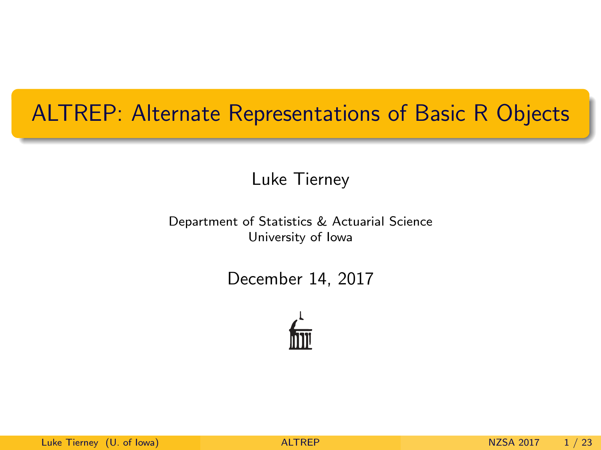### <span id="page-0-0"></span>ALTREP: Alternate Representations of Basic R Objects

Luke Tierney

Department of Statistics & Actuarial Science University of Iowa

December 14, 2017

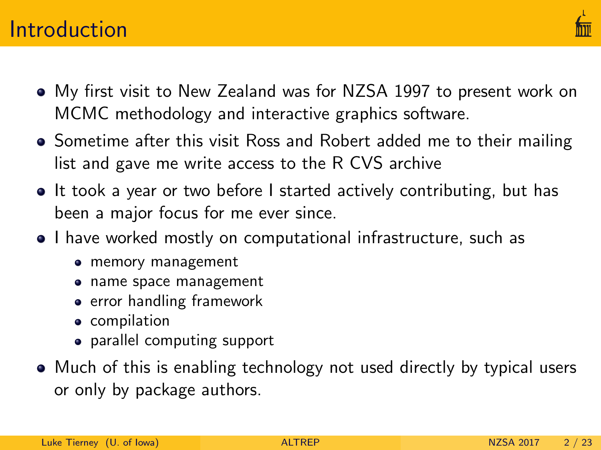### **Introduction**



- My first visit to New Zealand was for NZSA 1997 to present work on MCMC methodology and interactive graphics software.
- Sometime after this visit Ross and Robert added me to their mailing list and gave me write access to the R CVS archive
- It took a year or two before I started actively contributing, but has been a major focus for me ever since.
- I have worked mostly on computational infrastructure, such as
	- memory management
	- name space management
	- **•** error handling framework
	- **•** compilation
	- parallel computing support
- Much of this is enabling technology not used directly by typical users or only by package authors.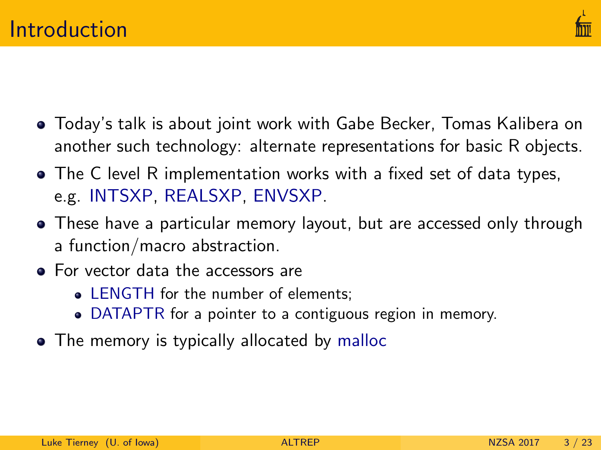

- Today's talk is about joint work with Gabe Becker, Tomas Kalibera on another such technology: alternate representations for basic R objects.
- The C level R implementation works with a fixed set of data types, e.g. INTSXP, REALSXP, ENVSXP.
- These have a particular memory layout, but are accessed only through a function/macro abstraction.
- For vector data the accessors are
	- LENGTH for the number of elements:
	- DATAPTR for a pointer to a contiguous region in memory.
- The memory is typically allocated by malloc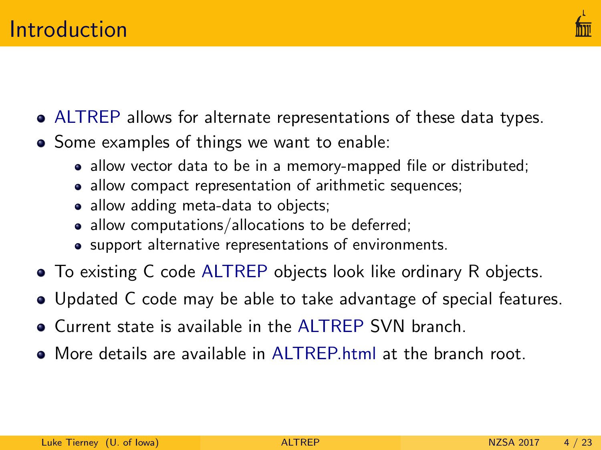

- ALTREP allows for alternate representations of these data types.
- Some examples of things we want to enable:
	- allow vector data to be in a memory-mapped file or distributed;
	- allow compact representation of arithmetic sequences;
	- allow adding meta-data to objects;
	- allow computations/allocations to be deferred;
	- support alternative representations of environments.
- To existing C code ALTREP objects look like ordinary R objects.
- Updated C code may be able to take advantage of special features.
- Current state is available in the ALTREP SVN branch.
- More details are available in [ALTREP.html](https://svn.r-project.org/R/branches/ALTREP/ALTREP.html) at the branch root.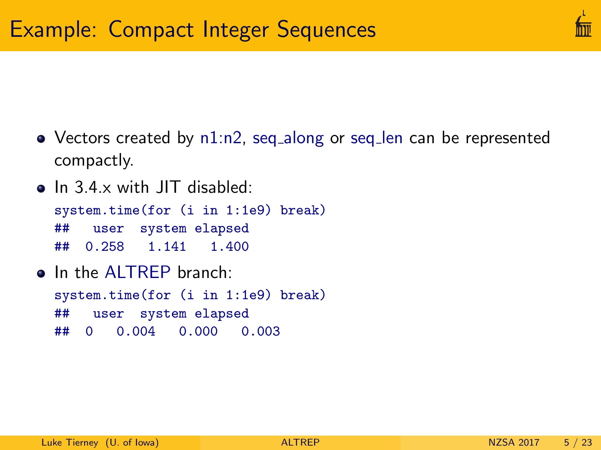- Vectors created by n1:n2, seq\_along or seq\_len can be represented compactly.
- In 3.4.x with JIT disabled: system.time(for (i in 1:1e9) break) ## user system elapsed ## 0.258 1.141 1.400
- o In the ALTREP branch: system.time(for (i in 1:1e9) break) ## user system elapsed ## 0 0.004 0.000 0.003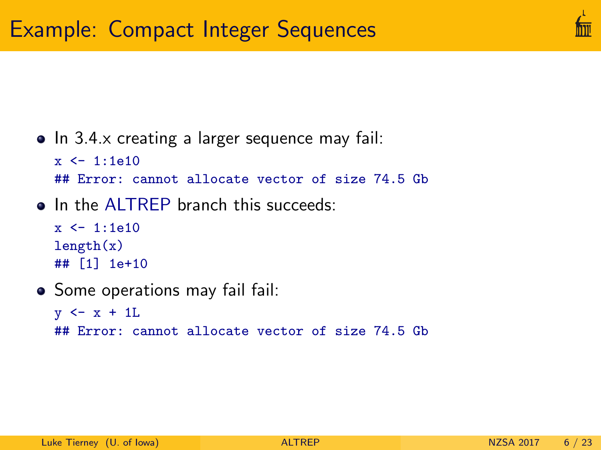

• In 3.4.x creating a larger sequence may fail:

```
x < -1.1e10
```
## Error: cannot allocate vector of size 74.5 Gb

• In the ALTREP branch this succeeds:

```
x < -1:1e10length(x)## [1] 1e+10
```
• Some operations may fail fail:

```
y \leftarrow x + 1L
## Error: cannot allocate vector of size 74.5 Gb
```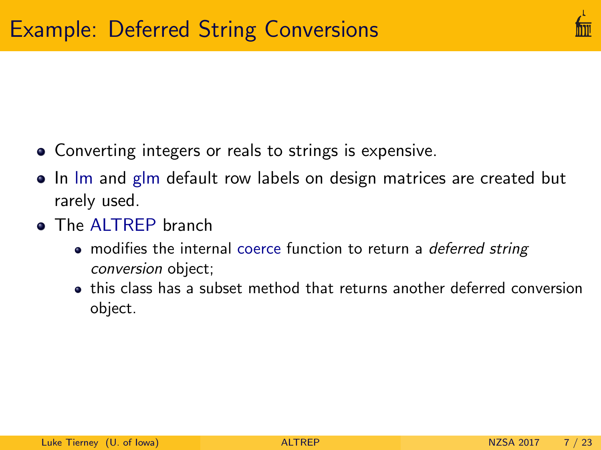

- Converting integers or reals to strings is expensive.
- In Im and glm default row labels on design matrices are created but rarely used.
- **The ALTREP branch** 
	- modifies the internal coerce function to return a *deferred string* conversion object;
	- this class has a subset method that returns another deferred conversion object.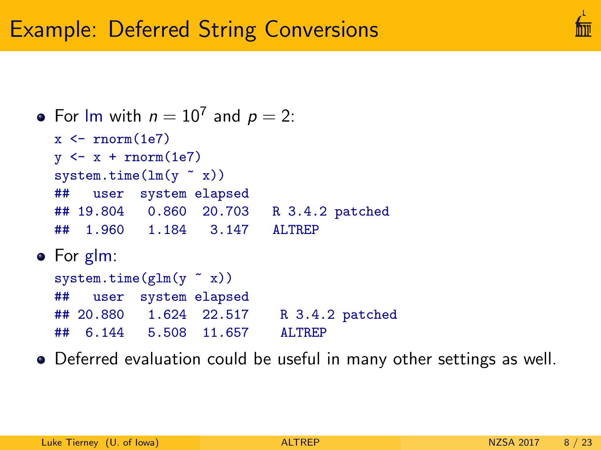# Example: Deferred String Conversions

```
For Im with n = 10^7 and p = 2:
  x \leftarrow \text{rnorm}(1e7)y \leftarrow x + \text{norm}(1e7)system.time(\ln(y \text{ x}))## user system elapsed
  ## 19.804 0.860 20.703 R 3.4.2 patched
  ## 1.960 1.184 3.147 ALTREP
• For glm:
  system.time(glm(y x x))## user system elapsed
  ## 20.880 1.624 22.517 R 3.4.2 patched
  ## 6.144 5.508 11.657 ALTREP
```
Deferred evaluation could be useful in many other settings as well.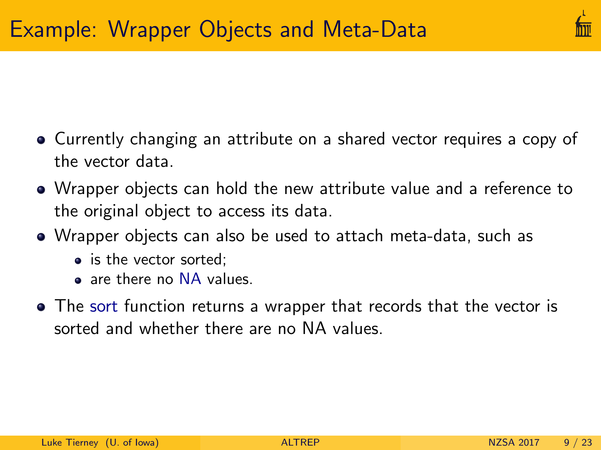

- Currently changing an attribute on a shared vector requires a copy of the vector data.
- Wrapper objects can hold the new attribute value and a reference to the original object to access its data.
- Wrapper objects can also be used to attach meta-data, such as
	- is the vector sorted:
	- a are there no NA values.
- The sort function returns a wrapper that records that the vector is sorted and whether there are no NA values.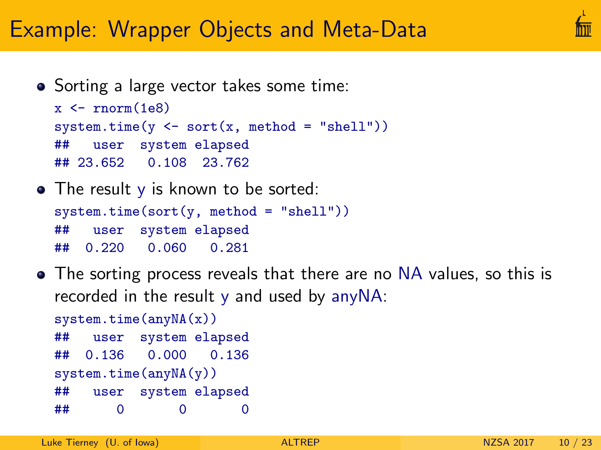## Example: Wrapper Objects and Meta-Data

• Sorting a large vector takes some time:

```
x \leftarrow \text{rnorm}(1e8)system.time(y \leq sort(x, method = "shell"))## user system elapsed
## 23.652 0.108 23.762
```
- The result y is known to be sorted:  $system.time(sort(y, method = "shell"))$ ## user system elapsed ## 0.220 0.060 0.281
- The sorting process reveals that there are no NA values, so this is recorded in the result y and used by anyNA:

```
system.time(anyNA(x))
## user system elapsed
## 0.136 0.000 0.136
system.time(anyNA(y))
## user system elapsed
## 0 0 0
```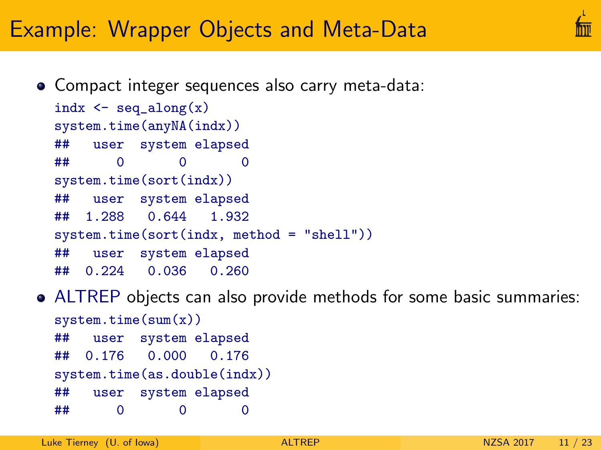## Example: Wrapper Objects and Meta-Data

Compact integer sequences also carry meta-data:

```
indx \leq seq_along(x)system.time(anyNA(indx))
## user system elapsed
## 0 0 0
system.time(sort(indx))
## user system elapsed
## 1.288 0.644 1.932
system.time(sort(indx, method = "shell"))
## user system elapsed
## 0.224 0.036 0.260
```
ALTREP objects can also provide methods for some basic summaries: system.time(sum(x)) ## user system elapsed ## 0.176 0.000 0.176 system.time(as.double(indx)) ## user system elapsed ## 0 0 0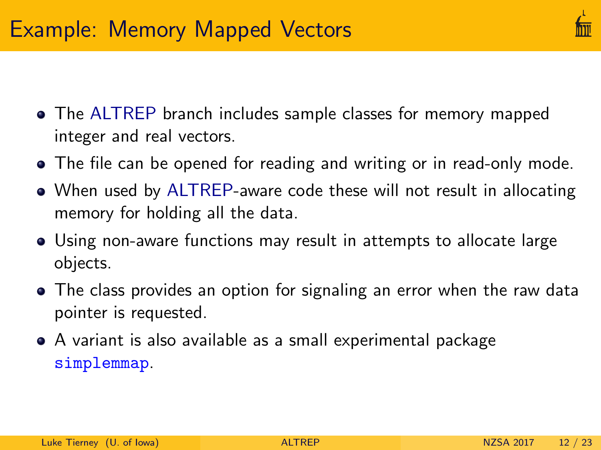- The ALTREP branch includes sample classes for memory mapped integer and real vectors.
- The file can be opened for reading and writing or in read-only mode.
- When used by ALTREP-aware code these will not result in allocating memory for holding all the data.
- Using non-aware functions may result in attempts to allocate large objects.
- The class provides an option for signaling an error when the raw data pointer is requested.
- A variant is also available as a small experimental package [simplemmap](https://github.com/ltierney/Rpkg-simplemmap).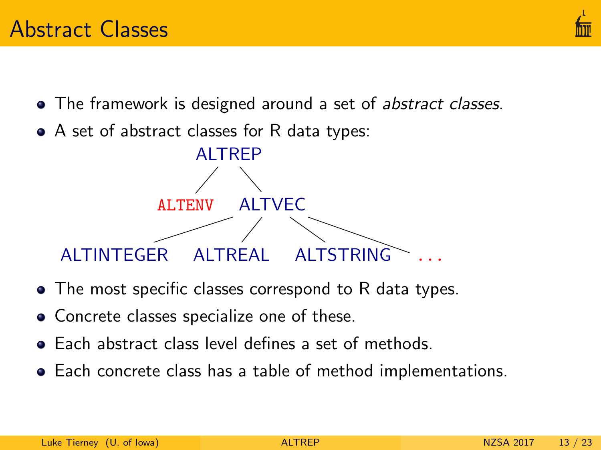

- The framework is designed around a set of abstract classes.
- A set of abstract classes for R data types:



- The most specific classes correspond to R data types.
- Concrete classes specialize one of these.
- Each abstract class level defines a set of methods.
- Each concrete class has a table of method implementations.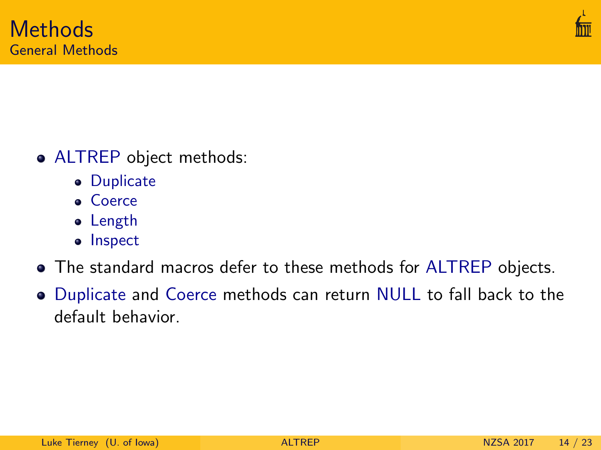

- ALTREP object methods:
	- **•** Duplicate
	- Coerce
	- Length
	- Inspect
- The standard macros defer to these methods for ALTREP objects.
- Duplicate and Coerce methods can return NULL to fall back to the default behavior.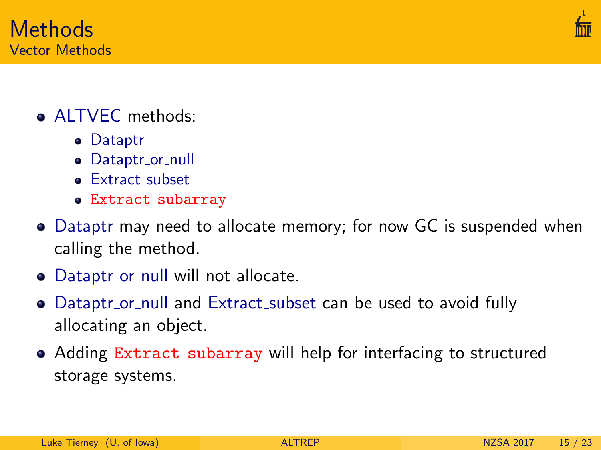



- **ALTVEC** methods:
	- Dataptr
	- Dataptr\_or\_null
	- **Extract subset**
	- Extract subarray
- Dataptr may need to allocate memory; for now GC is suspended when calling the method.
- Dataptr\_or\_null will not allocate.
- Dataptr\_or\_null and Extract\_subset can be used to avoid fully allocating an object.
- Adding Extract\_subarray will help for interfacing to structured storage systems.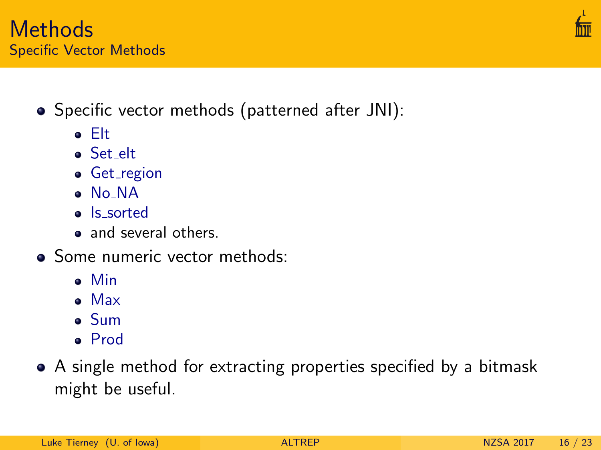#### **Methods** Specific Vector Methods

- Specific vector methods (patterned after JNI):
	- Elt
	- Set elt
	- **•** Get\_region
	- No NA
	- Is sorted
	- and several others.
- Some numeric vector methods:
	- Min
	- Max
	- Sum
	- Prod
- A single method for extracting properties specified by a bitmask might be useful.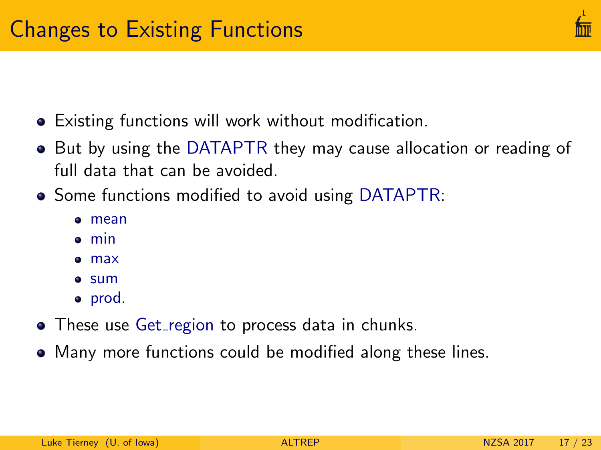- Existing functions will work without modification.
- But by using the DATAPTR they may cause allocation or reading of full data that can be avoided.
- Some functions modified to avoid using DATAPTR:
	- mean
	- min
	- max
	- **•** sum
	- prod.
- These use Get\_region to process data in chunks.
- Many more functions could be modified along these lines.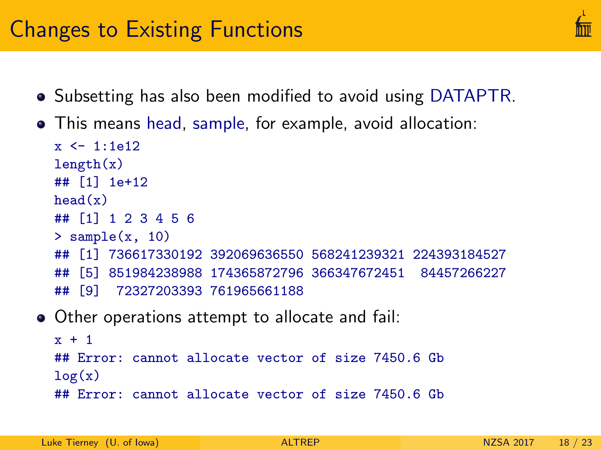### Changes to Existing Functions

- Subsetting has also been modified to avoid using DATAPTR.
- This means head, sample, for example, avoid allocation:

```
x < -1.1612length(x)## [1] 1e+12
head(x)## [1] 1 2 3 4 5 6
> sample(x, 10)## [1] 736617330192 392069636550 568241239321 224393184527
## [5] 851984238988 174365872796 366347672451 84457266227
## [9] 72327203393 761965661188
```
Other operations attempt to allocate and fail:

```
x + 1## Error: cannot allocate vector of size 7450.6 Gb
log(x)## Error: cannot allocate vector of size 7450.6 Gb
```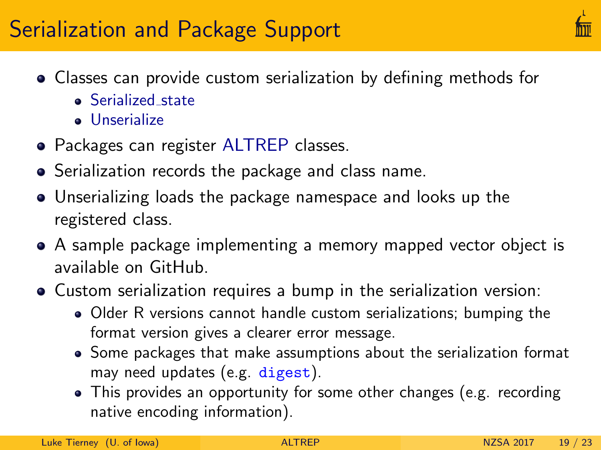# Serialization and Package Support

- Classes can provide custom serialization by defining methods for
	- **Serialized state**
	- **J** Unserialize
- Packages can register ALTREP classes.
- Serialization records the package and class name.
- Unserializing loads the package namespace and looks up the registered class.
- A sample package implementing a memory mapped vector object is available on GitHub.
- Custom serialization requires a bump in the serialization version:
	- Older R versions cannot handle custom serializations; bumping the format version gives a clearer error message.
	- Some packages that make assumptions about the serialization format may need updates (e.g. digest).
	- This provides an opportunity for some other changes (e.g. recording native encoding information).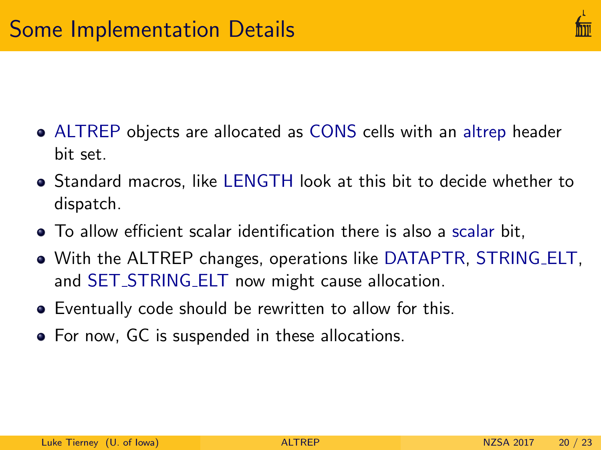

- ALTREP objects are allocated as CONS cells with an altrep header bit set.
- Standard macros, like LENGTH look at this bit to decide whether to dispatch.
- To allow efficient scalar identification there is also a scalar bit,
- With the ALTREP changes, operations like DATAPTR, STRING ELT, and SET\_STRING\_ELT now might cause allocation.
- Eventually code should be rewritten to allow for this.
- For now, GC is suspended in these allocations.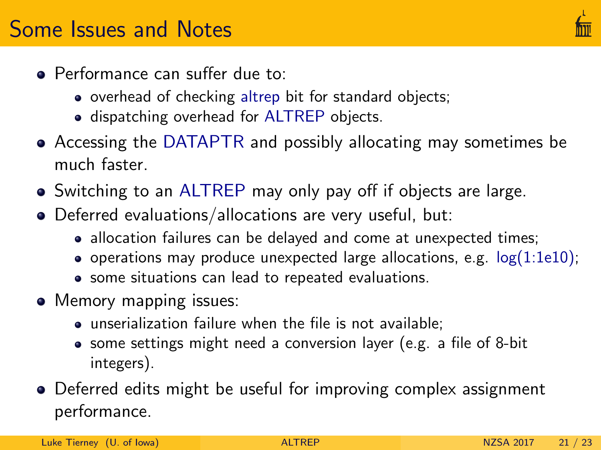- Performance can suffer due to:
	- overhead of checking altrep bit for standard objects;
	- **.** dispatching overhead for ALTREP objects.
- Accessing the DATAPTR and possibly allocating may sometimes be much faster.
- Switching to an ALTREP may only pay off if objects are large.
- Deferred evaluations/allocations are very useful, but:
	- allocation failures can be delayed and come at unexpected times;
	- operations may produce unexpected large allocations, e.g.  $log(1:1e10)$ ;
	- some situations can lead to repeated evaluations.
- Memory mapping issues:
	- unserialization failure when the file is not available;
	- some settings might need a conversion layer (e.g. a file of 8-bit integers).
- Deferred edits might be useful for improving complex assignment performance.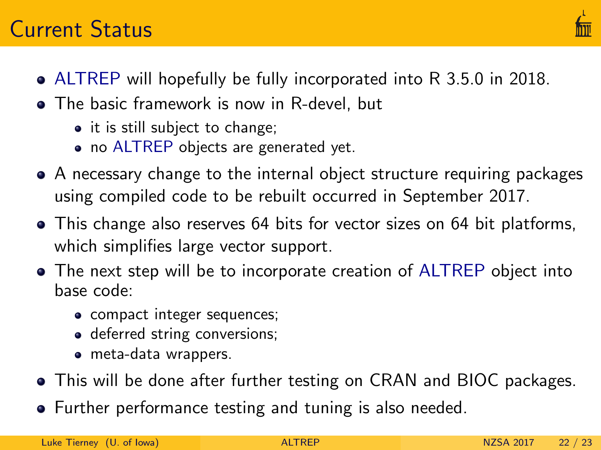### Current Status

- 
- ALTREP will hopefully be fully incorporated into R 3.5.0 in 2018.
- The basic framework is now in R-devel, but
	- it is still subject to change;
	- no ALTREP objects are generated yet.
- A necessary change to the internal object structure requiring packages using compiled code to be rebuilt occurred in September 2017.
- This change also reserves 64 bits for vector sizes on 64 bit platforms, which simplifies large vector support.
- The next step will be to incorporate creation of ALTREP object into base code:
	- compact integer sequences;
	- deferred string conversions;
	- meta-data wrappers.
- This will be done after further testing on CRAN and BIOC packages.
- Further performance testing and tuning is also needed.